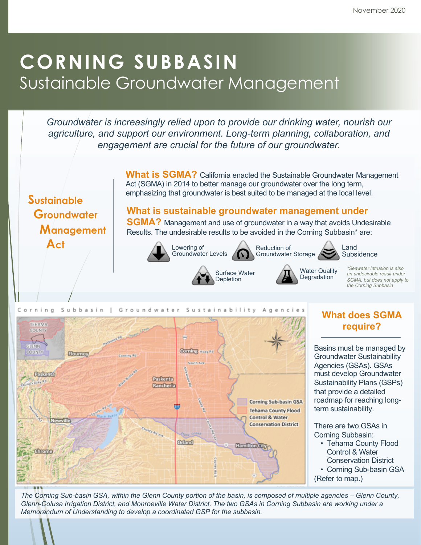# **CORNING SUBBASIN** Sustainable Groundwater Management

*Groundwater is increasingly relied upon to provide our drinking water, nourish our agriculture, and support our environment. Long-term planning, collaboration, and engagement are crucial for the future of our groundwater.*

> **What is SGMA?** California enacted the Sustainable Groundwater Management Act (SGMA) in 2014 to better manage our groundwater over the long term, emphasizing that groundwater is best suited to be managed at the local level.

## **Sustainable Groundwater Management Act**

**What is sustainable groundwater management under** 

**SGMA?** Management and use of groundwater in a way that avoids Undesirable Results. The undesirable results to be avoided in the Corning Subbasin\* are:





Surface Water Depletion





Water Quality **Degradation** 



*\*Seawater intrusion is also an undesirable result under SGMA, but does not apply to the Corning Subbasin*



### **What does SGMA require?**

Basins must be managed by Groundwater Sustainability Agencies (GSAs). GSAs must develop Groundwater Sustainability Plans (GSPs) that provide a detailed roadmap for reaching longterm sustainability.

There are two GSAs in Corning Subbasin:

- Tehama County Flood Control & Water Conservation District
- Corning Sub-basin GSA
- (Refer to map.)

*The Corning Sub-basin GSA, within the Glenn County portion of the basin, is composed of multiple agencies – Glenn County, Glenn-Colusa Irrigation District, and Monroeville Water District. The two GSAs in Corning Subbasin are working under a Memorandum of Understanding to develop a coordinated GSP for the subbasin.*